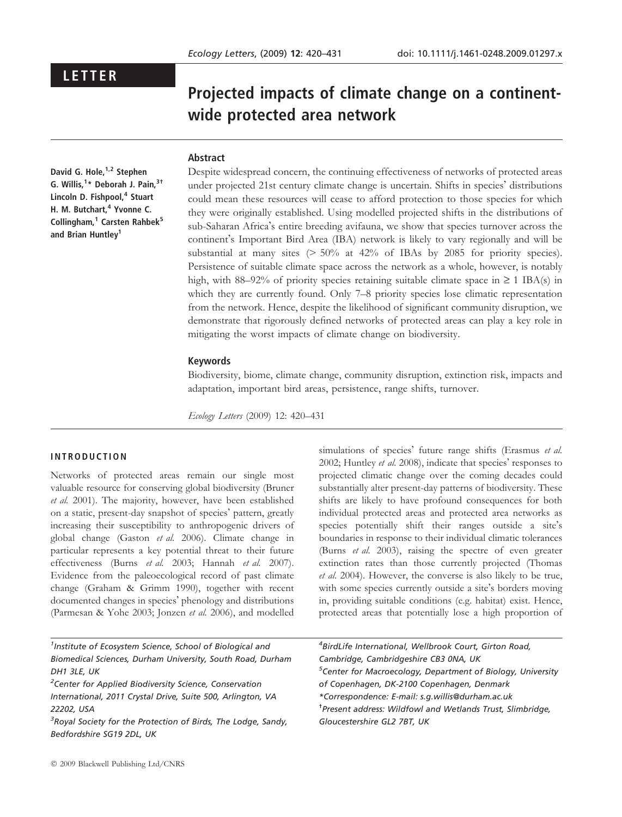## LETTER

# Projected impacts of climate change on a continentwide protected area network

## Abstract

David G. Hole,<sup>1,2</sup> Stephen G. Willis,<sup>1</sup>\* Deborah J. Pain,<sup>3†</sup> Lincoln D. Fishpool,<sup>4</sup> Stuart H. M. Butchart,<sup>4</sup> Yvonne C. Collingham,<sup>1</sup> Carsten Rahbek<sup>5</sup> and Brian Huntley<sup>1</sup>

Despite widespread concern, the continuing effectiveness of networks of protected areas under projected 21st century climate change is uncertain. Shifts in species' distributions could mean these resources will cease to afford protection to those species for which they were originally established. Using modelled projected shifts in the distributions of sub-Saharan Africa's entire breeding avifauna, we show that species turnover across the continent's Important Bird Area (IBA) network is likely to vary regionally and will be substantial at many sites (> 50% at 42% of IBAs by 2085 for priority species). Persistence of suitable climate space across the network as a whole, however, is notably high, with 88–92% of priority species retaining suitable climate space in  $\geq 1$  IBA(s) in which they are currently found. Only 7–8 priority species lose climatic representation from the network. Hence, despite the likelihood of significant community disruption, we demonstrate that rigorously defined networks of protected areas can play a key role in mitigating the worst impacts of climate change on biodiversity.

## Keywords

Biodiversity, biome, climate change, community disruption, extinction risk, impacts and adaptation, important bird areas, persistence, range shifts, turnover.

Ecology Letters (2009) 12: 420–431

## INTRODUCTION

Networks of protected areas remain our single most valuable resource for conserving global biodiversity (Bruner et al. 2001). The majority, however, have been established on a static, present-day snapshot of species' pattern, greatly increasing their susceptibility to anthropogenic drivers of global change (Gaston et al. 2006). Climate change in particular represents a key potential threat to their future effectiveness (Burns et al. 2003; Hannah et al. 2007). Evidence from the paleoecological record of past climate change (Graham & Grimm 1990), together with recent documented changes in species' phenology and distributions (Parmesan & Yohe 2003; Jonzen et al. 2006), and modelled

simulations of species' future range shifts (Erasmus et al. 2002; Huntley et al. 2008), indicate that species' responses to projected climatic change over the coming decades could substantially alter present-day patterns of biodiversity. These shifts are likely to have profound consequences for both individual protected areas and protected area networks as species potentially shift their ranges outside a site's boundaries in response to their individual climatic tolerances (Burns et al. 2003), raising the spectre of even greater extinction rates than those currently projected (Thomas et al. 2004). However, the converse is also likely to be true, with some species currently outside a site's borders moving in, providing suitable conditions (e.g. habitat) exist. Hence, protected areas that potentially lose a high proportion of

| <sup>1</sup> Institute of Ecosystem Science, School of Biological and     | <sup>4</sup> BirdLife International, Wellbrook Court, Girton Road,      |  |  |
|---------------------------------------------------------------------------|-------------------------------------------------------------------------|--|--|
| Biomedical Sciences, Durham University, South Road, Durham                | Cambridge, Cambridgeshire CB3 0NA, UK                                   |  |  |
| DH1 3LE, UK                                                               | <sup>5</sup> Center for Macroecology, Department of Biology, University |  |  |
| <sup>2</sup> Center for Applied Biodiversity Science, Conservation        | of Copenhagen, DK-2100 Copenhagen, Denmark                              |  |  |
| International, 2011 Crystal Drive, Suite 500, Arlington, VA               | *Correspondence: E-mail: s.g.willis@durham.ac.uk                        |  |  |
| 22202, USA                                                                | <sup>†</sup> Present address: Wildfowl and Wetlands Trust, Slimbridge,  |  |  |
| <sup>3</sup> Royal Society for the Protection of Birds, The Lodge, Sandy, | Gloucestershire GL2 7BT, UK                                             |  |  |
| Bedfordshire SG19 2DL, UK                                                 |                                                                         |  |  |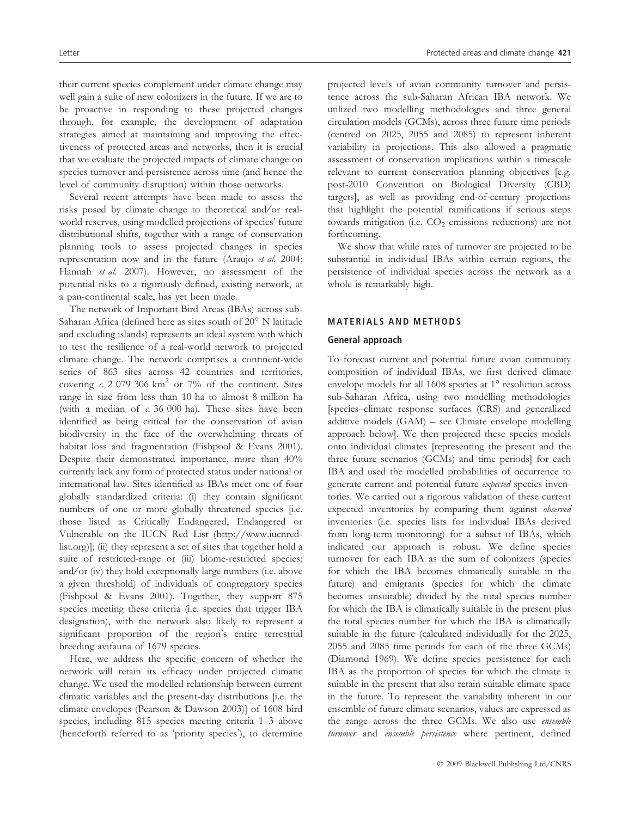their current species complement under climate change may well gain a suite of new colonizers in the future. If we are to be proactive in responding to these projected changes through, for example, the development of adaptation strategies aimed at maintaining and improving the effectiveness of protected areas and networks, then it is crucial that we evaluate the projected impacts of climate change on species turnover and persistence across time (and hence the level of community disruption) within those networks.

Several recent attempts have been made to assess the risks posed by climate change to theoretical and/or realworld reserves, using modelled projections of species' future distributional shifts, together with a range of conservation planning tools to assess projected changes in species representation now and in the future (Araujo et al. 2004; Hannah et al. 2007). However, no assessment of the potential risks to a rigorously defined, existing network, at a pan-continental scale, has yet been made.

The network of Important Bird Areas (IBAs) across sub-Saharan Africa (defined here as sites south of 20° N latitude and excluding islands) represents an ideal system with which to test the resilience of a real-world network to projected climate change. The network comprises a continent-wide series of 863 sites across 42 countries and territories, covering c. 2 079 306  $km^2$  or 7% of the continent. Sites range in size from less than 10 ha to almost 8 million ha (with a median of  $c$ . 36 000 ha). These sites have been identified as being critical for the conservation of avian biodiversity in the face of the overwhelming threats of habitat loss and fragmentation (Fishpool & Evans 2001). Despite their demonstrated importance, more than 40% currently lack any form of protected status under national or international law. Sites identified as IBAs meet one of four globally standardized criteria: (i) they contain significant numbers of one or more globally threatened species [i.e. those listed as Critically Endangered, Endangered or Vulnerable on the IUCN Red List (http://www.iucnredlist.org)]; (ii) they represent a set of sites that together hold a suite of restricted-range or (iii) biome-restricted species; and/or (iv) they hold exceptionally large numbers (i.e. above a given threshold) of individuals of congregatory species (Fishpool & Evans 2001). Together, they support 875 species meeting these criteria (i.e. species that trigger IBA designation), with the network also likely to represent a significant proportion of the region's entire terrestrial breeding avifauna of 1679 species.

Here, we address the specific concern of whether the network will retain its efficacy under projected climatic change. We used the modelled relationship between current climatic variables and the present-day distributions [i.e. the climate envelopes (Pearson & Dawson 2003)] of 1608 bird species, including 815 species meeting criteria 1–3 above (henceforth referred to as 'priority species'), to determine

projected levels of avian community turnover and persistence across the sub-Saharan African IBA network. We utilized two modelling methodologies and three general circulation models (GCMs), across three future time periods (centred on 2025, 2055 and 2085) to represent inherent variability in projections. This also allowed a pragmatic assessment of conservation implications within a timescale relevant to current conservation planning objectives [e.g. post-2010 Convention on Biological Diversity (CBD) targets], as well as providing end-of-century projections that highlight the potential ramifications if serious steps towards mitigation (i.e.  $CO<sub>2</sub>$  emissions reductions) are not forthcoming.

We show that while rates of turnover are projected to be substantial in individual IBAs within certain regions, the persistence of individual species across the network as a whole is remarkably high.

## MATERIALS AND METHODS

## General approach

To forecast current and potential future avian community composition of individual IBAs, we first derived climate envelope models for all  $1608$  species at  $1^\circ$  resolution across sub-Saharan Africa, using two modelling methodologies [species–climate response surfaces (CRS) and generalized additive models (GAM) – see Climate envelope modelling approach below]. We then projected these species models onto individual climates [representing the present and the three future scenarios (GCMs) and time periods] for each IBA and used the modelled probabilities of occurrence to generate current and potential future expected species inventories. We carried out a rigorous validation of these current expected inventories by comparing them against observed inventories (i.e. species lists for individual IBAs derived from long-term monitoring) for a subset of IBAs, which indicated our approach is robust. We define species turnover for each IBA as the sum of colonizers (species for which the IBA becomes climatically suitable in the future) and emigrants (species for which the climate becomes unsuitable) divided by the total species number for which the IBA is climatically suitable in the present plus the total species number for which the IBA is climatically suitable in the future (calculated individually for the 2025, 2055 and 2085 time periods for each of the three GCMs) (Diamond 1969). We define species persistence for each IBA as the proportion of species for which the climate is suitable in the present that also retain suitable climate space in the future. To represent the variability inherent in our ensemble of future climate scenarios, values are expressed as the range across the three GCMs. We also use ensemble turnover and ensemble persistence where pertinent, defined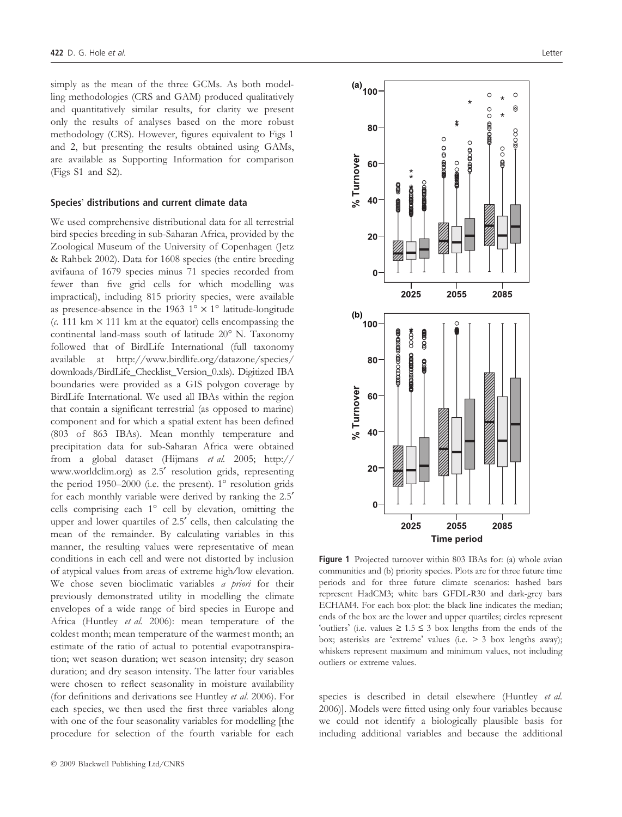simply as the mean of the three GCMs. As both modelling methodologies (CRS and GAM) produced qualitatively and quantitatively similar results, for clarity we present only the results of analyses based on the more robust methodology (CRS). However, figures equivalent to Figs 1 and 2, but presenting the results obtained using GAMs, are available as Supporting Information for comparison (Figs S1 and S2).

#### Species' distributions and current climate data

We used comprehensive distributional data for all terrestrial bird species breeding in sub-Saharan Africa, provided by the Zoological Museum of the University of Copenhagen (Jetz & Rahbek 2002). Data for 1608 species (the entire breeding avifauna of 1679 species minus 71 species recorded from fewer than five grid cells for which modelling was impractical), including 815 priority species, were available as presence-absence in the 1963  $1^{\circ} \times 1^{\circ}$  latitude-longitude (c. 111 km  $\times$  111 km at the equator) cells encompassing the continental land-mass south of latitude 20° N. Taxonomy followed that of BirdLife International (full taxonomy available at http://www.birdlife.org/datazone/species/ downloads/BirdLife\_Checklist\_Version\_0.xls). Digitized IBA boundaries were provided as a GIS polygon coverage by BirdLife International. We used all IBAs within the region that contain a significant terrestrial (as opposed to marine) component and for which a spatial extent has been defined (803 of 863 IBAs). Mean monthly temperature and precipitation data for sub-Saharan Africa were obtained from a global dataset (Hijmans et al. 2005; http:// www.worldclim.org) as 2.5<sup>'</sup> resolution grids, representing the period 1950–2000 (i.e. the present).  $1^{\circ}$  resolution grids for each monthly variable were derived by ranking the 2.5<sup>'</sup> cells comprising each  $1^\circ$  cell by elevation, omitting the upper and lower quartiles of 2.5<sup>'</sup> cells, then calculating the mean of the remainder. By calculating variables in this manner, the resulting values were representative of mean conditions in each cell and were not distorted by inclusion of atypical values from areas of extreme high/low elevation. We chose seven bioclimatic variables *a priori* for their previously demonstrated utility in modelling the climate envelopes of a wide range of bird species in Europe and Africa (Huntley et al. 2006): mean temperature of the coldest month; mean temperature of the warmest month; an estimate of the ratio of actual to potential evapotranspiration; wet season duration; wet season intensity; dry season duration; and dry season intensity. The latter four variables were chosen to reflect seasonality in moisture availability (for definitions and derivations see Huntley et al. 2006). For each species, we then used the first three variables along with one of the four seasonality variables for modelling [the procedure for selection of the fourth variable for each



Figure 1 Projected turnover within 803 IBAs for: (a) whole avian communities and (b) priority species. Plots are for three future time periods and for three future climate scenarios: hashed bars represent HadCM3; white bars GFDL-R30 and dark-grey bars ECHAM4. For each box-plot: the black line indicates the median; ends of the box are the lower and upper quartiles; circles represent 'outliers' (i.e. values  $\geq 1.5 \leq 3$  box lengths from the ends of the box; asterisks are 'extreme' values (i.e.  $>$  3 box lengths away); whiskers represent maximum and minimum values, not including outliers or extreme values.

species is described in detail elsewhere (Huntley et al. 2006)]. Models were fitted using only four variables because we could not identify a biologically plausible basis for including additional variables and because the additional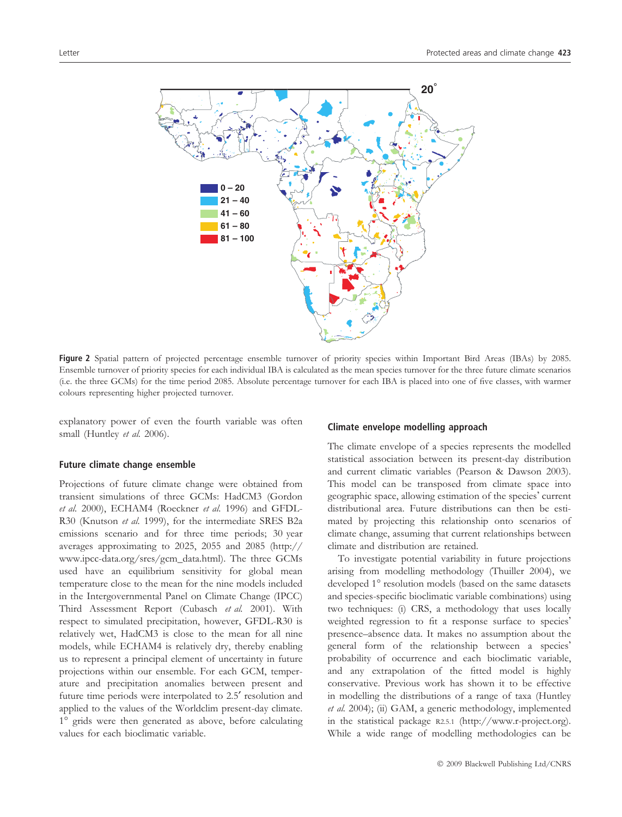

Figure 2 Spatial pattern of projected percentage ensemble turnover of priority species within Important Bird Areas (IBAs) by 2085. Ensemble turnover of priority species for each individual IBA is calculated as the mean species turnover for the three future climate scenarios (i.e. the three GCMs) for the time period 2085. Absolute percentage turnover for each IBA is placed into one of five classes, with warmer colours representing higher projected turnover.

explanatory power of even the fourth variable was often small (Huntley et al. 2006).

## Future climate change ensemble

Projections of future climate change were obtained from transient simulations of three GCMs: HadCM3 (Gordon et al. 2000), ECHAM4 (Roeckner et al. 1996) and GFDL-R30 (Knutson et al. 1999), for the intermediate SRES B2a emissions scenario and for three time periods; 30 year averages approximating to 2025, 2055 and 2085 (http:// www.ipcc-data.org/sres/gcm\_data.html). The three GCMs used have an equilibrium sensitivity for global mean temperature close to the mean for the nine models included in the Intergovernmental Panel on Climate Change (IPCC) Third Assessment Report (Cubasch et al. 2001). With respect to simulated precipitation, however, GFDL-R30 is relatively wet, HadCM3 is close to the mean for all nine models, while ECHAM4 is relatively dry, thereby enabling us to represent a principal element of uncertainty in future projections within our ensemble. For each GCM, temperature and precipitation anomalies between present and future time periods were interpolated to 2.5<sup>'</sup> resolution and applied to the values of the Worldclim present-day climate. 1° grids were then generated as above, before calculating values for each bioclimatic variable.

#### Climate envelope modelling approach

The climate envelope of a species represents the modelled statistical association between its present-day distribution and current climatic variables (Pearson & Dawson 2003). This model can be transposed from climate space into geographic space, allowing estimation of the species' current distributional area. Future distributions can then be estimated by projecting this relationship onto scenarios of climate change, assuming that current relationships between climate and distribution are retained.

To investigate potential variability in future projections arising from modelling methodology (Thuiller 2004), we developed 1° resolution models (based on the same datasets and species-specific bioclimatic variable combinations) using two techniques: (i) CRS, a methodology that uses locally weighted regression to fit a response surface to species' presence–absence data. It makes no assumption about the general form of the relationship between a species' probability of occurrence and each bioclimatic variable, and any extrapolation of the fitted model is highly conservative. Previous work has shown it to be effective in modelling the distributions of a range of taxa (Huntley et al. 2004); (ii) GAM, a generic methodology, implemented in the statistical package R2.5.1 (http://www.r-project.org). While a wide range of modelling methodologies can be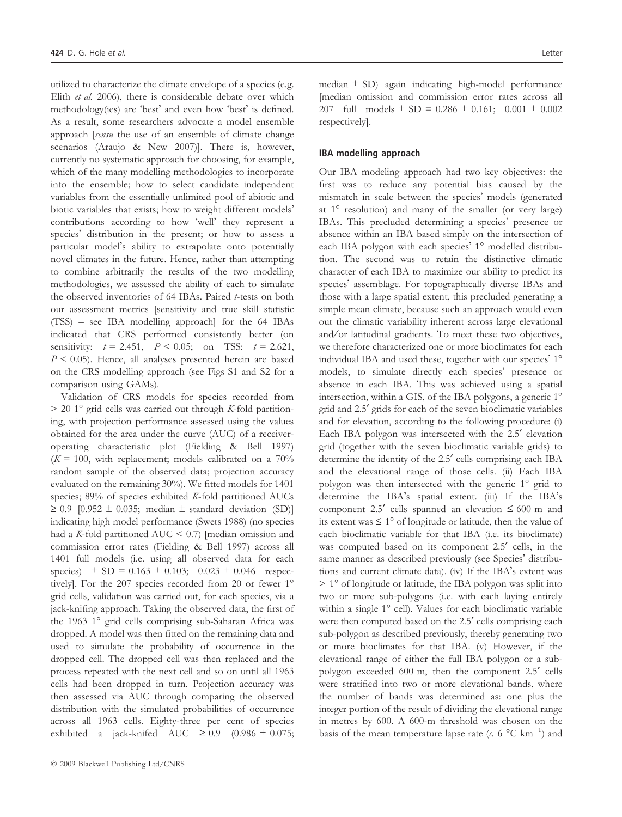utilized to characterize the climate envelope of a species (e.g. Elith et al. 2006), there is considerable debate over which methodology(ies) are 'best' and even how 'best' is defined. As a result, some researchers advocate a model ensemble approach [sensu the use of an ensemble of climate change scenarios (Araujo & New 2007)]. There is, however, currently no systematic approach for choosing, for example, which of the many modelling methodologies to incorporate into the ensemble; how to select candidate independent variables from the essentially unlimited pool of abiotic and biotic variables that exists; how to weight different models' contributions according to how 'well' they represent a species' distribution in the present; or how to assess a particular model's ability to extrapolate onto potentially novel climates in the future. Hence, rather than attempting to combine arbitrarily the results of the two modelling methodologies, we assessed the ability of each to simulate the observed inventories of 64 IBAs. Paired *t*-tests on both our assessment metrics [sensitivity and true skill statistic (TSS) – see IBA modelling approach] for the 64 IBAs indicated that CRS performed consistently better (on sensitivity:  $t = 2.451$ ,  $P < 0.05$ ; on TSS:  $t = 2.621$ ,  $P < 0.05$ ). Hence, all analyses presented herein are based on the CRS modelling approach (see Figs S1 and S2 for a comparison using GAMs).

Validation of CRS models for species recorded from  $> 20$  1° grid cells was carried out through K-fold partitioning, with projection performance assessed using the values obtained for the area under the curve (AUC) of a receiveroperating characteristic plot (Fielding & Bell 1997)  $(K = 100$ , with replacement; models calibrated on a 70% random sample of the observed data; projection accuracy evaluated on the remaining 30%). We fitted models for 1401 species; 89% of species exhibited K-fold partitioned AUCs  $\geq$  0.9 [0.952  $\pm$  0.035; median  $\pm$  standard deviation (SD)] indicating high model performance (Swets 1988) (no species had a K-fold partitioned AUC < 0.7) [median omission and commission error rates (Fielding & Bell 1997) across all 1401 full models (i.e. using all observed data for each species)  $\pm$  SD = 0.163  $\pm$  0.103; 0.023  $\pm$  0.046 respectively]. For the 207 species recorded from 20 or fewer 1<sup>o</sup> grid cells, validation was carried out, for each species, via a jack-knifing approach. Taking the observed data, the first of the 1963 1° grid cells comprising sub-Saharan Africa was dropped. A model was then fitted on the remaining data and used to simulate the probability of occurrence in the dropped cell. The dropped cell was then replaced and the process repeated with the next cell and so on until all 1963 cells had been dropped in turn. Projection accuracy was then assessed via AUC through comparing the observed distribution with the simulated probabilities of occurrence across all 1963 cells. Eighty-three per cent of species exhibited a jack-knifed AUC  $\geq 0.9$  (0.986  $\pm$  0.075; median ± SD) again indicating high-model performance [median omission and commission error rates across all 207 full models  $\pm$  SD = 0.286  $\pm$  0.161; 0.001  $\pm$  0.002 respectively].

## IBA modelling approach

Our IBA modeling approach had two key objectives: the first was to reduce any potential bias caused by the mismatch in scale between the species' models (generated at  $1^\circ$  resolution) and many of the smaller (or very large) IBAs. This precluded determining a species' presence or absence within an IBA based simply on the intersection of each IBA polygon with each species' 1° modelled distribution. The second was to retain the distinctive climatic character of each IBA to maximize our ability to predict its species' assemblage. For topographically diverse IBAs and those with a large spatial extent, this precluded generating a simple mean climate, because such an approach would even out the climatic variability inherent across large elevational and/or latitudinal gradients. To meet these two objectives, we therefore characterized one or more bioclimates for each individual IBA and used these, together with our species' 1° models, to simulate directly each species' presence or absence in each IBA. This was achieved using a spatial intersection, within a GIS, of the IBA polygons, a generic 1 grid and 2.5¢ grids for each of the seven bioclimatic variables and for elevation, according to the following procedure: (i) Each IBA polygon was intersected with the 2.5' elevation grid (together with the seven bioclimatic variable grids) to determine the identity of the 2.5' cells comprising each IBA and the elevational range of those cells. (ii) Each IBA polygon was then intersected with the generic 1° grid to determine the IBA's spatial extent. (iii) If the IBA's component 2.5' cells spanned an elevation  $\leq 600$  m and its extent was  $\leq 1^{\circ}$  of longitude or latitude, then the value of each bioclimatic variable for that IBA (i.e. its bioclimate) was computed based on its component 2.5<sup>'</sup> cells, in the same manner as described previously (see Species' distributions and current climate data). (iv) If the IBA's extent was  $> 1^\circ$  of longitude or latitude, the IBA polygon was split into two or more sub-polygons (i.e. with each laying entirely within a single  $1^\circ$  cell). Values for each bioclimatic variable were then computed based on the 2.5' cells comprising each sub-polygon as described previously, thereby generating two or more bioclimates for that IBA. (v) However, if the elevational range of either the full IBA polygon or a subpolygon exceeded 600 m, then the component 2.5' cells were stratified into two or more elevational bands, where the number of bands was determined as: one plus the integer portion of the result of dividing the elevational range in metres by 600. A 600-m threshold was chosen on the basis of the mean temperature lapse rate ( $c$ . 6 °C km<sup>-1</sup>) and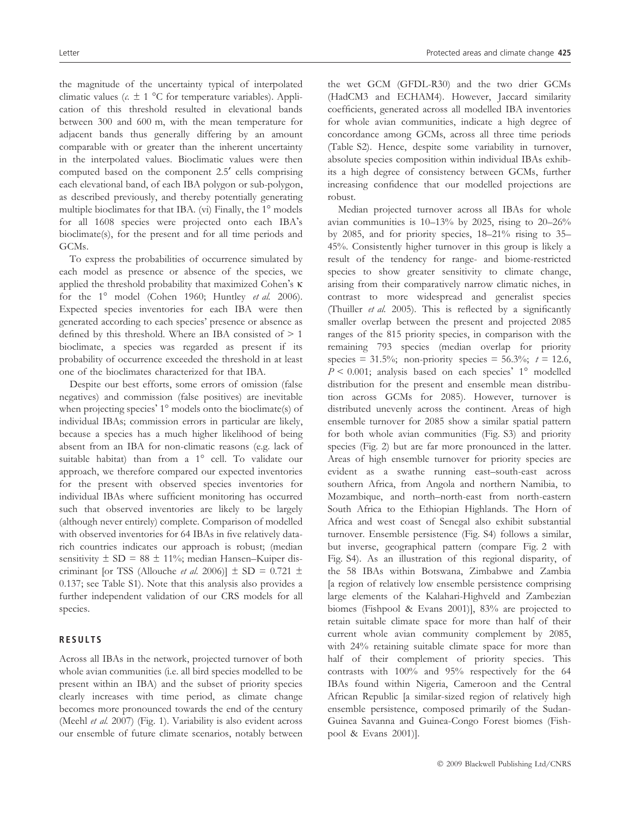the magnitude of the uncertainty typical of interpolated climatic values ( $c. \pm 1$  °C for temperature variables). Application of this threshold resulted in elevational bands between 300 and 600 m, with the mean temperature for adjacent bands thus generally differing by an amount comparable with or greater than the inherent uncertainty in the interpolated values. Bioclimatic values were then computed based on the component 2.5<sup>'</sup> cells comprising each elevational band, of each IBA polygon or sub-polygon, as described previously, and thereby potentially generating multiple bioclimates for that IBA. (vi) Finally, the  $1^\circ$  models for all 1608 species were projected onto each IBA's bioclimate(s), for the present and for all time periods and GCMs.

To express the probabilities of occurrence simulated by each model as presence or absence of the species, we applied the threshold probability that maximized Cohen's  $\kappa$ for the  $1^{\circ}$  model (Cohen 1960; Huntley *et al.* 2006). Expected species inventories for each IBA were then generated according to each species' presence or absence as defined by this threshold. Where an IBA consisted of > 1 bioclimate, a species was regarded as present if its probability of occurrence exceeded the threshold in at least one of the bioclimates characterized for that IBA.

Despite our best efforts, some errors of omission (false negatives) and commission (false positives) are inevitable when projecting species' 1<sup>°</sup> models onto the bioclimate(s) of individual IBAs; commission errors in particular are likely, because a species has a much higher likelihood of being absent from an IBA for non-climatic reasons (e.g. lack of suitable habitat) than from a  $1^\circ$  cell. To validate our approach, we therefore compared our expected inventories for the present with observed species inventories for individual IBAs where sufficient monitoring has occurred such that observed inventories are likely to be largely (although never entirely) complete. Comparison of modelled with observed inventories for 64 IBAs in five relatively datarich countries indicates our approach is robust; (median sensitivity  $\pm$  SD = 88  $\pm$  11%; median Hansen–Kuiper discriminant [or TSS (Allouche *et al.* 2006)]  $\pm$  SD = 0.721  $\pm$ 0.137; see Table S1). Note that this analysis also provides a further independent validation of our CRS models for all species.

## RESULTS

Across all IBAs in the network, projected turnover of both whole avian communities (i.e. all bird species modelled to be present within an IBA) and the subset of priority species clearly increases with time period, as climate change becomes more pronounced towards the end of the century (Meehl et al. 2007) (Fig. 1). Variability is also evident across our ensemble of future climate scenarios, notably between the wet GCM (GFDL-R30) and the two drier GCMs (HadCM3 and ECHAM4). However, Jaccard similarity coefficients, generated across all modelled IBA inventories for whole avian communities, indicate a high degree of concordance among GCMs, across all three time periods (Table S2). Hence, despite some variability in turnover, absolute species composition within individual IBAs exhibits a high degree of consistency between GCMs, further increasing confidence that our modelled projections are robust.

Median projected turnover across all IBAs for whole avian communities is  $10-13\%$  by 2025, rising to 20-26% by 2085, and for priority species, 18–21% rising to 35– 45%. Consistently higher turnover in this group is likely a result of the tendency for range- and biome-restricted species to show greater sensitivity to climate change, arising from their comparatively narrow climatic niches, in contrast to more widespread and generalist species (Thuiller et al. 2005). This is reflected by a significantly smaller overlap between the present and projected 2085 ranges of the 815 priority species, in comparison with the remaining 793 species (median overlap for priority species = 31.5%; non-priority species = 56.3%;  $t = 12.6$ ,  $P < 0.001$ ; analysis based on each species' 1° modelled distribution for the present and ensemble mean distribution across GCMs for 2085). However, turnover is distributed unevenly across the continent. Areas of high ensemble turnover for 2085 show a similar spatial pattern for both whole avian communities (Fig. S3) and priority species (Fig. 2) but are far more pronounced in the latter. Areas of high ensemble turnover for priority species are evident as a swathe running east–south-east across southern Africa, from Angola and northern Namibia, to Mozambique, and north–north-east from north-eastern South Africa to the Ethiopian Highlands. The Horn of Africa and west coast of Senegal also exhibit substantial turnover. Ensemble persistence (Fig. S4) follows a similar, but inverse, geographical pattern (compare Fig. 2 with Fig. S4). As an illustration of this regional disparity, of the 58 IBAs within Botswana, Zimbabwe and Zambia [a region of relatively low ensemble persistence comprising large elements of the Kalahari-Highveld and Zambezian biomes (Fishpool & Evans 2001)], 83% are projected to retain suitable climate space for more than half of their current whole avian community complement by 2085, with 24% retaining suitable climate space for more than half of their complement of priority species. This contrasts with 100% and 95% respectively for the 64 IBAs found within Nigeria, Cameroon and the Central African Republic [a similar-sized region of relatively high ensemble persistence, composed primarily of the Sudan-Guinea Savanna and Guinea-Congo Forest biomes (Fishpool & Evans 2001)].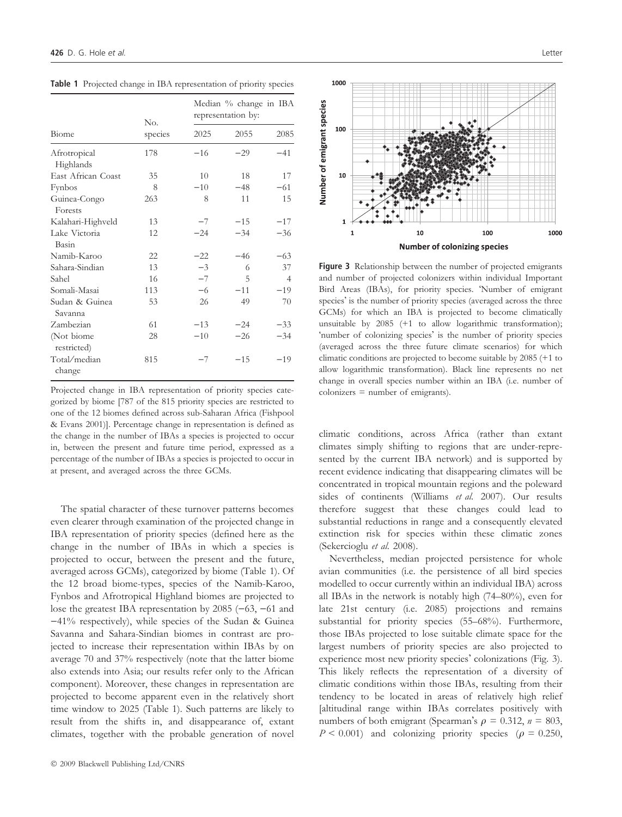| Biome                     | No.<br>species | Median % change in IBA<br>representation by: |       |                |
|---------------------------|----------------|----------------------------------------------|-------|----------------|
|                           |                | 2025                                         | 2055  | 2085           |
| Afrotropical<br>Highlands | 178            | $-16$                                        | $-29$ | $-41$          |
| East African Coast        | 35             | 10                                           | 18    | 17             |
| Fynbos                    | 8              | $-10$                                        | $-48$ | $-61$          |
| Guinea-Congo<br>Forests   | 263            | 8                                            | 11    | 15             |
| Kalahari-Highveld         | 13             | $-7$                                         | $-15$ | $-17$          |
| Lake Victoria<br>Basin    | 12             | $-24$                                        | $-34$ | $-36$          |
| Namib-Karoo               | 22             | $-22$                                        | $-46$ | $-63$          |
| Sahara-Sindian            | 13             | $-3$                                         | 6     | 37             |
| Sahel                     | 16             | $-7$                                         | 5     | $\overline{4}$ |
| Somali-Masai              | 113            | $-6$                                         | $-11$ | $-19$          |
| Sudan & Guinea<br>Savanna | 53             | 26                                           | 49    | 70             |
| Zambezian                 | 61             | $-13$                                        | $-24$ | $-33$          |
| (Not biome<br>restricted) | 28             | $-10$                                        | $-26$ | $-34$          |
| Total/median<br>change    | 815            | $-7$                                         | $-15$ | $-19$          |

Table 1 Projected change in IBA representation of priority species

Projected change in IBA representation of priority species categorized by biome [787 of the 815 priority species are restricted to one of the 12 biomes defined across sub-Saharan Africa (Fishpool & Evans 2001)]. Percentage change in representation is defined as the change in the number of IBAs a species is projected to occur in, between the present and future time period, expressed as a percentage of the number of IBAs a species is projected to occur in at present, and averaged across the three GCMs.

The spatial character of these turnover patterns becomes even clearer through examination of the projected change in IBA representation of priority species (defined here as the change in the number of IBAs in which a species is projected to occur, between the present and the future, averaged across GCMs), categorized by biome (Table 1). Of the 12 broad biome-types, species of the Namib-Karoo, Fynbos and Afrotropical Highland biomes are projected to lose the greatest IBA representation by  $2085$  (-63, -61 and  $-41\%$  respectively), while species of the Sudan & Guinea Savanna and Sahara-Sindian biomes in contrast are projected to increase their representation within IBAs by on average 70 and 37% respectively (note that the latter biome also extends into Asia; our results refer only to the African component). Moreover, these changes in representation are projected to become apparent even in the relatively short time window to 2025 (Table 1). Such patterns are likely to result from the shifts in, and disappearance of, extant climates, together with the probable generation of novel



Figure 3 Relationship between the number of projected emigrants and number of projected colonizers within individual Important Bird Areas (IBAs), for priority species. Number of emigrant species' is the number of priority species (averaged across the three GCMs) for which an IBA is projected to become climatically unsuitable by 2085 (+1 to allow logarithmic transformation); 'number of colonizing species' is the number of priority species (averaged across the three future climate scenarios) for which climatic conditions are projected to become suitable by 2085 (+1 to allow logarithmic transformation). Black line represents no net change in overall species number within an IBA (i.e. number of colonizers = number of emigrants).

climatic conditions, across Africa (rather than extant climates simply shifting to regions that are under-represented by the current IBA network) and is supported by recent evidence indicating that disappearing climates will be concentrated in tropical mountain regions and the poleward sides of continents (Williams et al. 2007). Our results therefore suggest that these changes could lead to substantial reductions in range and a consequently elevated extinction risk for species within these climatic zones (Sekercioglu et al. 2008).

Nevertheless, median projected persistence for whole avian communities (i.e. the persistence of all bird species modelled to occur currently within an individual IBA) across all IBAs in the network is notably high (74–80%), even for late 21st century (i.e. 2085) projections and remains substantial for priority species (55–68%). Furthermore, those IBAs projected to lose suitable climate space for the largest numbers of priority species are also projected to experience most new priority species' colonizations (Fig. 3). This likely reflects the representation of a diversity of climatic conditions within those IBAs, resulting from their tendency to be located in areas of relatively high relief [altitudinal range within IBAs correlates positively with numbers of both emigrant (Spearman's  $\rho = 0.312$ ,  $n = 803$ ,  $P \le 0.001$ ) and colonizing priority species ( $\rho = 0.250$ ,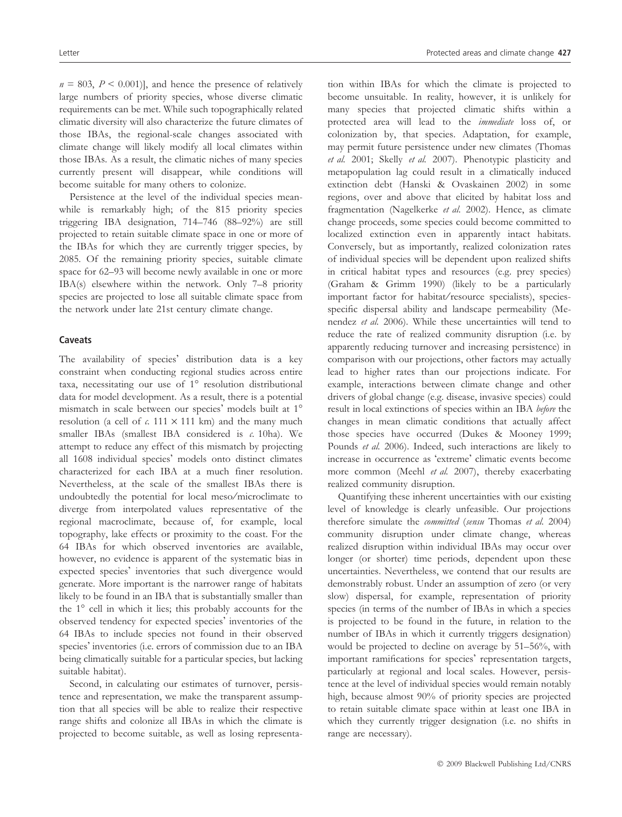$n = 803$ ,  $P < 0.001$ ], and hence the presence of relatively large numbers of priority species, whose diverse climatic requirements can be met. While such topographically related climatic diversity will also characterize the future climates of those IBAs, the regional-scale changes associated with climate change will likely modify all local climates within those IBAs. As a result, the climatic niches of many species currently present will disappear, while conditions will become suitable for many others to colonize.

Persistence at the level of the individual species meanwhile is remarkably high; of the 815 priority species triggering IBA designation, 714–746 (88–92%) are still projected to retain suitable climate space in one or more of the IBAs for which they are currently trigger species, by 2085. Of the remaining priority species, suitable climate space for 62–93 will become newly available in one or more IBA(s) elsewhere within the network. Only 7–8 priority species are projected to lose all suitable climate space from the network under late 21st century climate change.

## Caveats

The availability of species' distribution data is a key constraint when conducting regional studies across entire taxa, necessitating our use of  $1^\circ$  resolution distributional data for model development. As a result, there is a potential mismatch in scale between our species' models built at 1° resolution (a cell of c. 111  $\times$  111 km) and the many much smaller IBAs (smallest IBA considered is c. 10ha). We attempt to reduce any effect of this mismatch by projecting all 1608 individual species' models onto distinct climates characterized for each IBA at a much finer resolution. Nevertheless, at the scale of the smallest IBAs there is undoubtedly the potential for local meso/microclimate to diverge from interpolated values representative of the regional macroclimate, because of, for example, local topography, lake effects or proximity to the coast. For the 64 IBAs for which observed inventories are available, however, no evidence is apparent of the systematic bias in expected species' inventories that such divergence would generate. More important is the narrower range of habitats likely to be found in an IBA that is substantially smaller than the  $1^\circ$  cell in which it lies; this probably accounts for the observed tendency for expected species' inventories of the 64 IBAs to include species not found in their observed species' inventories (i.e. errors of commission due to an IBA being climatically suitable for a particular species, but lacking suitable habitat).

Second, in calculating our estimates of turnover, persistence and representation, we make the transparent assumption that all species will be able to realize their respective range shifts and colonize all IBAs in which the climate is projected to become suitable, as well as losing representation within IBAs for which the climate is projected to become unsuitable. In reality, however, it is unlikely for many species that projected climatic shifts within a protected area will lead to the immediate loss of, or colonization by, that species. Adaptation, for example, may permit future persistence under new climates (Thomas et al. 2001; Skelly et al. 2007). Phenotypic plasticity and metapopulation lag could result in a climatically induced extinction debt (Hanski & Ovaskainen 2002) in some regions, over and above that elicited by habitat loss and fragmentation (Nagelkerke et al. 2002). Hence, as climate change proceeds, some species could become committed to localized extinction even in apparently intact habitats. Conversely, but as importantly, realized colonization rates of individual species will be dependent upon realized shifts in critical habitat types and resources (e.g. prey species) (Graham & Grimm 1990) (likely to be a particularly important factor for habitat⁄resource specialists), speciesspecific dispersal ability and landscape permeability (Menendez et al. 2006). While these uncertainties will tend to reduce the rate of realized community disruption (i.e. by apparently reducing turnover and increasing persistence) in comparison with our projections, other factors may actually lead to higher rates than our projections indicate. For example, interactions between climate change and other drivers of global change (e.g. disease, invasive species) could result in local extinctions of species within an IBA before the changes in mean climatic conditions that actually affect those species have occurred (Dukes & Mooney 1999; Pounds et al. 2006). Indeed, such interactions are likely to increase in occurrence as 'extreme' climatic events become more common (Meehl et al. 2007), thereby exacerbating realized community disruption.

Quantifying these inherent uncertainties with our existing level of knowledge is clearly unfeasible. Our projections therefore simulate the committed (sensu Thomas et al. 2004) community disruption under climate change, whereas realized disruption within individual IBAs may occur over longer (or shorter) time periods, dependent upon these uncertainties. Nevertheless, we contend that our results are demonstrably robust. Under an assumption of zero (or very slow) dispersal, for example, representation of priority species (in terms of the number of IBAs in which a species is projected to be found in the future, in relation to the number of IBAs in which it currently triggers designation) would be projected to decline on average by 51–56%, with important ramifications for species' representation targets, particularly at regional and local scales. However, persistence at the level of individual species would remain notably high, because almost 90% of priority species are projected to retain suitable climate space within at least one IBA in which they currently trigger designation (i.e. no shifts in range are necessary).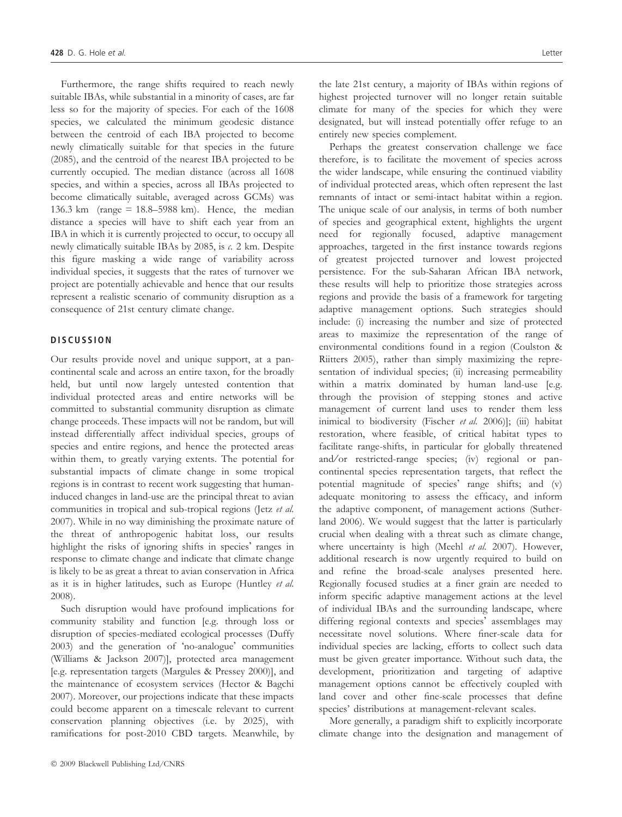Furthermore, the range shifts required to reach newly suitable IBAs, while substantial in a minority of cases, are far less so for the majority of species. For each of the 1608 species, we calculated the minimum geodesic distance between the centroid of each IBA projected to become newly climatically suitable for that species in the future (2085), and the centroid of the nearest IBA projected to be currently occupied. The median distance (across all 1608 species, and within a species, across all IBAs projected to become climatically suitable, averaged across GCMs) was 136.3 km (range = 18.8–5988 km). Hence, the median distance a species will have to shift each year from an IBA in which it is currently projected to occur, to occupy all newly climatically suitable IBAs by 2085, is c. 2 km. Despite this figure masking a wide range of variability across individual species, it suggests that the rates of turnover we project are potentially achievable and hence that our results represent a realistic scenario of community disruption as a consequence of 21st century climate change.

## **DISCUSSION**

Our results provide novel and unique support, at a pancontinental scale and across an entire taxon, for the broadly held, but until now largely untested contention that individual protected areas and entire networks will be committed to substantial community disruption as climate change proceeds. These impacts will not be random, but will instead differentially affect individual species, groups of species and entire regions, and hence the protected areas within them, to greatly varying extents. The potential for substantial impacts of climate change in some tropical regions is in contrast to recent work suggesting that humaninduced changes in land-use are the principal threat to avian communities in tropical and sub-tropical regions (Jetz et al. 2007). While in no way diminishing the proximate nature of the threat of anthropogenic habitat loss, our results highlight the risks of ignoring shifts in species' ranges in response to climate change and indicate that climate change is likely to be as great a threat to avian conservation in Africa as it is in higher latitudes, such as Europe (Huntley et al. 2008).

Such disruption would have profound implications for community stability and function [e.g. through loss or disruption of species-mediated ecological processes (Duffy 2003) and the generation of 'no-analogue' communities (Williams & Jackson 2007)], protected area management [e.g. representation targets (Margules & Pressey 2000)], and the maintenance of ecosystem services (Hector & Bagchi 2007). Moreover, our projections indicate that these impacts could become apparent on a timescale relevant to current conservation planning objectives (i.e. by 2025), with ramifications for post-2010 CBD targets. Meanwhile, by the late 21st century, a majority of IBAs within regions of highest projected turnover will no longer retain suitable climate for many of the species for which they were designated, but will instead potentially offer refuge to an entirely new species complement.

Perhaps the greatest conservation challenge we face therefore, is to facilitate the movement of species across the wider landscape, while ensuring the continued viability of individual protected areas, which often represent the last remnants of intact or semi-intact habitat within a region. The unique scale of our analysis, in terms of both number of species and geographical extent, highlights the urgent need for regionally focused, adaptive management approaches, targeted in the first instance towards regions of greatest projected turnover and lowest projected persistence. For the sub-Saharan African IBA network, these results will help to prioritize those strategies across regions and provide the basis of a framework for targeting adaptive management options. Such strategies should include: (i) increasing the number and size of protected areas to maximize the representation of the range of environmental conditions found in a region (Coulston & Riitters 2005), rather than simply maximizing the representation of individual species; (ii) increasing permeability within a matrix dominated by human land-use [e.g. through the provision of stepping stones and active management of current land uses to render them less inimical to biodiversity (Fischer et al. 2006)]; (iii) habitat restoration, where feasible, of critical habitat types to facilitate range-shifts, in particular for globally threatened and/or restricted-range species; (iv) regional or pancontinental species representation targets, that reflect the potential magnitude of species' range shifts; and (v) adequate monitoring to assess the efficacy, and inform the adaptive component, of management actions (Sutherland 2006). We would suggest that the latter is particularly crucial when dealing with a threat such as climate change, where uncertainty is high (Meehl et al. 2007). However, additional research is now urgently required to build on and refine the broad-scale analyses presented here. Regionally focused studies at a finer grain are needed to inform specific adaptive management actions at the level of individual IBAs and the surrounding landscape, where differing regional contexts and species' assemblages may necessitate novel solutions. Where finer-scale data for individual species are lacking, efforts to collect such data must be given greater importance. Without such data, the development, prioritization and targeting of adaptive management options cannot be effectively coupled with land cover and other fine-scale processes that define species' distributions at management-relevant scales.

More generally, a paradigm shift to explicitly incorporate climate change into the designation and management of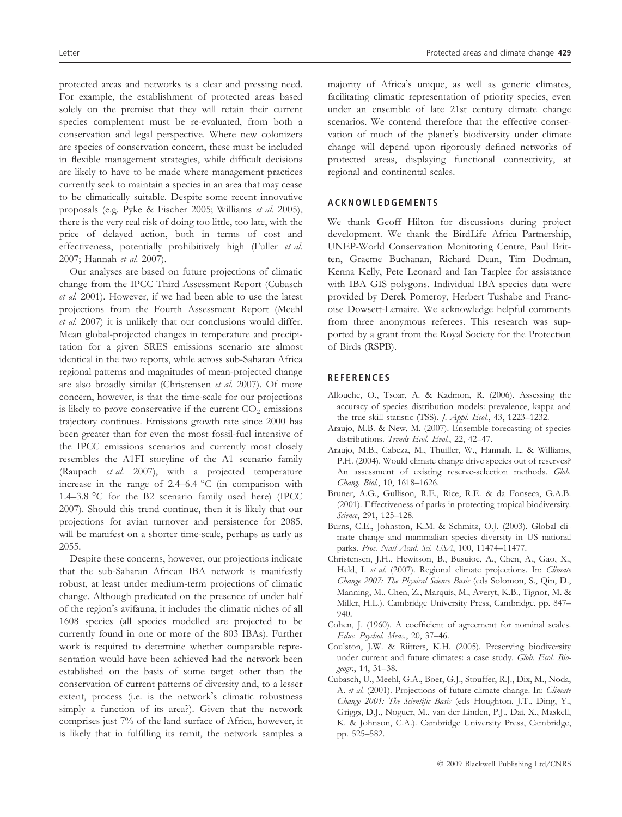protected areas and networks is a clear and pressing need. For example, the establishment of protected areas based solely on the premise that they will retain their current species complement must be re-evaluated, from both a conservation and legal perspective. Where new colonizers are species of conservation concern, these must be included in flexible management strategies, while difficult decisions are likely to have to be made where management practices currently seek to maintain a species in an area that may cease to be climatically suitable. Despite some recent innovative proposals (e.g. Pyke & Fischer 2005; Williams et al. 2005), there is the very real risk of doing too little, too late, with the price of delayed action, both in terms of cost and effectiveness, potentially prohibitively high (Fuller et al. 2007; Hannah et al. 2007).

Our analyses are based on future projections of climatic change from the IPCC Third Assessment Report (Cubasch et al. 2001). However, if we had been able to use the latest projections from the Fourth Assessment Report (Meehl et al. 2007) it is unlikely that our conclusions would differ. Mean global-projected changes in temperature and precipitation for a given SRES emissions scenario are almost identical in the two reports, while across sub-Saharan Africa regional patterns and magnitudes of mean-projected change are also broadly similar (Christensen et al. 2007). Of more concern, however, is that the time-scale for our projections is likely to prove conservative if the current  $CO<sub>2</sub>$  emissions trajectory continues. Emissions growth rate since 2000 has been greater than for even the most fossil-fuel intensive of the IPCC emissions scenarios and currently most closely resembles the A1FI storyline of the A1 scenario family (Raupach et al. 2007), with a projected temperature increase in the range of  $2.4-6.4$  °C (in comparison with 1.4–3.8 °C for the B2 scenario family used here) (IPCC 2007). Should this trend continue, then it is likely that our projections for avian turnover and persistence for 2085, will be manifest on a shorter time-scale, perhaps as early as 2055.

Despite these concerns, however, our projections indicate that the sub-Saharan African IBA network is manifestly robust, at least under medium-term projections of climatic change. Although predicated on the presence of under half of the region's avifauna, it includes the climatic niches of all 1608 species (all species modelled are projected to be currently found in one or more of the 803 IBAs). Further work is required to determine whether comparable representation would have been achieved had the network been established on the basis of some target other than the conservation of current patterns of diversity and, to a lesser extent, process (i.e. is the network's climatic robustness simply a function of its area?). Given that the network comprises just 7% of the land surface of Africa, however, it is likely that in fulfilling its remit, the network samples a

majority of Africa's unique, as well as generic climates, facilitating climatic representation of priority species, even under an ensemble of late 21st century climate change scenarios. We contend therefore that the effective conservation of much of the planet's biodiversity under climate change will depend upon rigorously defined networks of protected areas, displaying functional connectivity, at regional and continental scales.

## ACKNOWLEDGEMENTS

We thank Geoff Hilton for discussions during project development. We thank the BirdLife Africa Partnership, UNEP-World Conservation Monitoring Centre, Paul Britten, Graeme Buchanan, Richard Dean, Tim Dodman, Kenna Kelly, Pete Leonard and Ian Tarplee for assistance with IBA GIS polygons. Individual IBA species data were provided by Derek Pomeroy, Herbert Tushabe and Francoise Dowsett-Lemaire. We acknowledge helpful comments from three anonymous referees. This research was supported by a grant from the Royal Society for the Protection of Birds (RSPB).

#### **REFERENCES**

- Allouche, O., Tsoar, A. & Kadmon, R. (2006). Assessing the accuracy of species distribution models: prevalence, kappa and the true skill statistic (TSS). *J. Appl. Ecol.*, 43, 1223-1232.
- Araujo, M.B. & New, M. (2007). Ensemble forecasting of species distributions. Trends Ecol. Evol., 22, 42-47.
- Araujo, M.B., Cabeza, M., Thuiller, W., Hannah, L. & Williams, P.H. (2004). Would climate change drive species out of reserves? An assessment of existing reserve-selection methods. Glob. Chang. Biol., 10, 1618–1626.
- Bruner, A.G., Gullison, R.E., Rice, R.E. & da Fonseca, G.A.B. (2001). Effectiveness of parks in protecting tropical biodiversity. Science, 291, 125-128.
- Burns, C.E., Johnston, K.M. & Schmitz, O.J. (2003). Global climate change and mammalian species diversity in US national parks. Proc. Natl Acad. Sci. USA, 100, 11474-11477.
- Christensen, J.H., Hewitson, B., Busuioc, A., Chen, A., Gao, X., Held, I. et al. (2007). Regional climate projections. In: Climate Change 2007: The Physical Science Basis (eds Solomon, S., Qin, D., Manning, M., Chen, Z., Marquis, M., Averyt, K.B., Tignor, M. & Miller, H.L.). Cambridge University Press, Cambridge, pp. 847– 940.
- Cohen, J. (1960). A coefficient of agreement for nominal scales. Educ. Psychol. Meas., 20, 37–46.
- Coulston, J.W. & Riitters, K.H. (2005). Preserving biodiversity under current and future climates: a case study. Glob. Ecol. Biogeogr., 14, 31–38.
- Cubasch, U., Meehl, G.A., Boer, G.J., Stouffer, R.J., Dix, M., Noda, A. et al. (2001). Projections of future climate change. In: Climate Change 2001: The Scientific Basis (eds Houghton, J.T., Ding, Y., Griggs, D.J., Noguer, M., van der Linden, P.J., Dai, X., Maskell, K. & Johnson, C.A.). Cambridge University Press, Cambridge, pp. 525–582.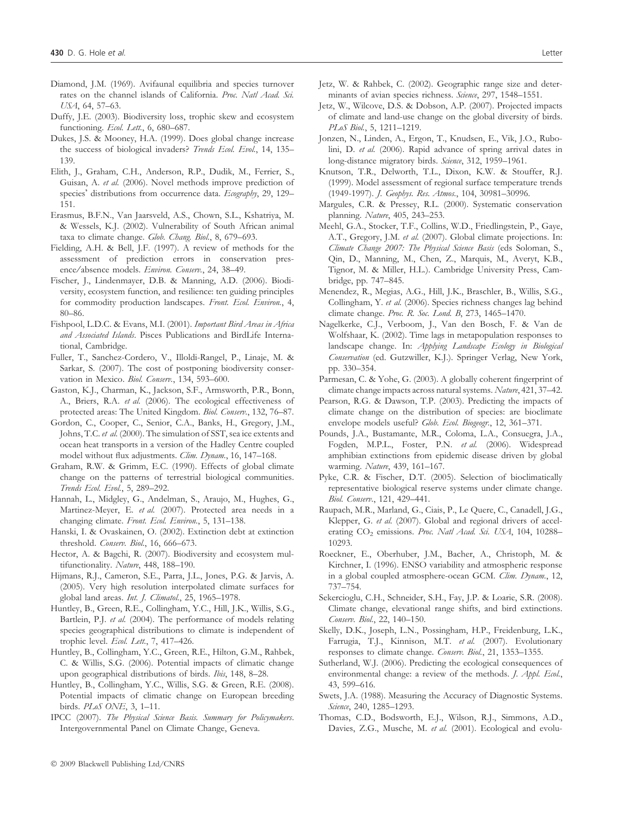- Diamond, J.M. (1969). Avifaunal equilibria and species turnover rates on the channel islands of California. Proc. Natl Acad. Sci. USA, 64, 57–63.
- Duffy, J.E. (2003). Biodiversity loss, trophic skew and ecosystem functioning. Ecol. Lett., 6, 680-687.
- Dukes, J.S. & Mooney, H.A. (1999). Does global change increase the success of biological invaders? Trends Ecol. Evol., 14, 135– 139.
- Elith, J., Graham, C.H., Anderson, R.P., Dudik, M., Ferrier, S., Guisan, A. et al. (2006). Novel methods improve prediction of species' distributions from occurrence data. Ecography, 29, 129-151.
- Erasmus, B.F.N., Van Jaarsveld, A.S., Chown, S.L., Kshatriya, M. & Wessels, K.J. (2002). Vulnerability of South African animal taxa to climate change. Glob. Chang. Biol., 8, 679-693.
- Fielding, A.H. & Bell, J.F. (1997). A review of methods for the assessment of prediction errors in conservation presence ⁄ absence models. Environ. Conserv., 24, 38–49.
- Fischer, J., Lindenmayer, D.B. & Manning, A.D. (2006). Biodiversity, ecosystem function, and resilience: ten guiding principles for commodity production landscapes. Front. Ecol. Environ., 4, 80–86.
- Fishpool, L.D.C. & Evans, M.I. (2001). Important Bird Areas in Africa and Associated Islands. Pisces Publications and BirdLife International, Cambridge.
- Fuller, T., Sanchez-Cordero, V., Illoldi-Rangel, P., Linaje, M. & Sarkar, S. (2007). The cost of postponing biodiversity conservation in Mexico. Biol. Conserv., 134, 593–600.
- Gaston, K.J., Charman, K., Jackson, S.F., Armsworth, P.R., Bonn, A., Briers, R.A. et al. (2006). The ecological effectiveness of protected areas: The United Kingdom. Biol. Conserv., 132, 76–87.
- Gordon, C., Cooper, C., Senior, C.A., Banks, H., Gregory, J.M., Johns, T.C. et al. (2000). The simulation of SST, sea ice extents and ocean heat transports in a version of the Hadley Centre coupled model without flux adjustments. Clim. Dynam., 16, 147-168.
- Graham, R.W. & Grimm, E.C. (1990). Effects of global climate change on the patterns of terrestrial biological communities. Trends Ecol. Evol., 5, 289–292.
- Hannah, L., Midgley, G., Andelman, S., Araujo, M., Hughes, G., Martinez-Meyer, E. et al. (2007). Protected area needs in a changing climate. Front. Ecol. Environ., 5, 131-138.
- Hanski, I. & Ovaskainen, O. (2002). Extinction debt at extinction threshold. Conserv. Biol., 16, 666–673.
- Hector, A. & Bagchi, R. (2007). Biodiversity and ecosystem multifunctionality. Nature, 448, 188–190.
- Hijmans, R.J., Cameron, S.E., Parra, J.L., Jones, P.G. & Jarvis, A. (2005). Very high resolution interpolated climate surfaces for global land areas. Int. J. Climatol., 25, 1965-1978.
- Huntley, B., Green, R.E., Collingham, Y.C., Hill, J.K., Willis, S.G., Bartlein, P.J. et al. (2004). The performance of models relating species geographical distributions to climate is independent of trophic level. Ecol. Lett., 7, 417-426.
- Huntley, B., Collingham, Y.C., Green, R.E., Hilton, G.M., Rahbek, C. & Willis, S.G. (2006). Potential impacts of climatic change upon geographical distributions of birds. Ibis, 148, 8–28.
- Huntley, B., Collingham, Y.C., Willis, S.G. & Green, R.E. (2008). Potential impacts of climatic change on European breeding birds. PLoS ONE, 3, 1–11.
- IPCC (2007). The Physical Science Basis. Summary for Policymakers. Intergovernmental Panel on Climate Change, Geneva.
- Jetz, W. & Rahbek, C. (2002). Geographic range size and determinants of avian species richness. Science, 297, 1548-1551.
- Jetz, W., Wilcove, D.S. & Dobson, A.P. (2007). Projected impacts of climate and land-use change on the global diversity of birds. PLoS Biol., 5, 1211-1219.
- Jonzen, N., Linden, A., Ergon, T., Knudsen, E., Vik, J.O., Rubolini, D. et al. (2006). Rapid advance of spring arrival dates in long-distance migratory birds. Science, 312, 1959-1961.
- Knutson, T.R., Delworth, T.L., Dixon, K.W. & Stouffer, R.J. (1999). Model assessment of regional surface temperature trends (1949-1997). J. Geophys. Res. Atmos., 104, 30981–30996.
- Margules, C.R. & Pressey, R.L. (2000). Systematic conservation planning. Nature, 405, 243–253.
- Meehl, G.A., Stocker, T.F., Collins, W.D., Friedlingstein, P., Gaye, A.T., Gregory, J.M. et al. (2007). Global climate projections. In: Climate Change 2007: The Physical Science Basis (eds Soloman, S., Qin, D., Manning, M., Chen, Z., Marquis, M., Averyt, K.B., Tignor, M. & Miller, H.L.). Cambridge University Press, Cambridge, pp. 747–845.
- Menendez, R., Megias, A.G., Hill, J.K., Braschler, B., Willis, S.G., Collingham, Y. et al. (2006). Species richness changes lag behind climate change. Proc. R. Soc. Lond. B, 273, 1465–1470.
- Nagelkerke, C.J., Verboom, J., Van den Bosch, F. & Van de Wolfshaar, K. (2002). Time lags in metapopulation responses to landscape change. In: Applying Landscape Ecology in Biological Conservation (ed. Gutzwiller, K.J.). Springer Verlag, New York, pp. 330–354.
- Parmesan, C. & Yohe, G. (2003). A globally coherent fingerprint of climate change impacts across natural systems. Nature, 421, 37–42.
- Pearson, R.G. & Dawson, T.P. (2003). Predicting the impacts of climate change on the distribution of species: are bioclimate envelope models useful? Glob. Ecol. Biogeogr., 12, 361-371.
- Pounds, J.A., Bustamante, M.R., Coloma, L.A., Consuegra, J.A., Fogden, M.P.L., Foster, P.N. et al. (2006). Widespread amphibian extinctions from epidemic disease driven by global warming. Nature, 439, 161–167.
- Pyke, C.R. & Fischer, D.T. (2005). Selection of bioclimatically representative biological reserve systems under climate change. Biol. Conserv., 121, 429–441.
- Raupach, M.R., Marland, G., Ciais, P., Le Quere, C., Canadell, J.G., Klepper, G. et al. (2007). Global and regional drivers of accelerating CO<sub>2</sub> emissions. Proc. Natl Acad. Sci. USA, 104, 10288-10293.
- Roeckner, E., Oberhuber, J.M., Bacher, A., Christoph, M. & Kirchner, I. (1996). ENSO variability and atmospheric response in a global coupled atmosphere-ocean GCM. Clim. Dynam., 12, 737–754.
- Sekercioglu, C.H., Schneider, S.H., Fay, J.P. & Loarie, S.R. (2008). Climate change, elevational range shifts, and bird extinctions. Conserv. Biol., 22, 140–150.
- Skelly, D.K., Joseph, L.N., Possingham, H.P., Freidenburg, L.K., Farrugia, T.J., Kinnison, M.T. et al. (2007). Evolutionary responses to climate change. Conserv. Biol., 21, 1353–1355.
- Sutherland, W.J. (2006). Predicting the ecological consequences of environmental change: a review of the methods. J. Appl. Ecol., 43, 599–616.
- Swets, J.A. (1988). Measuring the Accuracy of Diagnostic Systems. Science, 240, 1285-1293.
- Thomas, C.D., Bodsworth, E.J., Wilson, R.J., Simmons, A.D., Davies, Z.G., Musche, M. et al. (2001). Ecological and evolu-